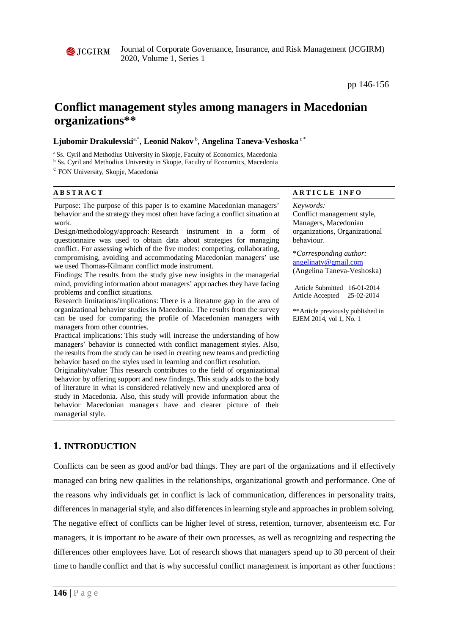

Journal of Corporate Governance, Insurance, and Risk Management (JCGIRM) 2020, Volume 1, Series 1

pp 146-156

# **Conflict management styles among managers in Macedonian organizations\*\***

### ${\bf Ljubomir~Drakulevski<sup>a*</sup>, **Leonid Nakov**<sup>b</sup>, **Angelina Taneva-Veshoska**  $^{\circ}$  *$

<sup>a</sup> Ss. Cyril and Methodius University in Skopje, Faculty of Economics, Macedonia

<sup>b</sup> Ss. Cyril and Methodius University in Skopje, Faculty of Economics, Macedonia

<sup>c</sup> FON University, Skopje, Macedonia

**ABSTRACT** ARTICLE INFO

Purpose: The purpose of this paper is to examine Macedonian managers' behavior and the strategy they most often have facing a conflict situation at work.

Design/methodology/approach: Research instrument in a form of questionnaire was used to obtain data about strategies for managing conflict. For assessing which of the five modes: competing, collaborating, compromising, avoiding and accommodating Macedonian managers' use we used Thomas-Kilmann conflict mode instrument.

Findings: The results from the study give new insights in the managerial mind, providing information about managers' approaches they have facing problems and conflict situations.

Research limitations/implications: There is a literature gap in the area of organizational behavior studies in Macedonia. The results from the survey can be used for comparing the profile of Macedonian managers with managers from other countries.

Practical implications: This study will increase the understanding of how managers' behavior is connected with conflict management styles. Also, the results from the study can be used in creating new teams and predicting behavior based on the styles used in learning and conflict resolution.

Originality/value: This research contributes to the field of organizational behavior by offering support and new findings. This study adds to the body of literature in what is considered relatively new and unexplored area of study in Macedonia. Also, this study will provide information about the behavior Macedonian managers have and clearer picture of their managerial style.

# *Keywords:*

Conflict management style, Managers, Macedonian organizations, Organizational behaviour.

\**Corresponding author:*  [angelinatv@gmail.com](mailto:angelinatv@gmail.com) (Angelina Taneva-Veshoska)

Article Submitted 16-01-2014 Article Accepted 25-02-2014

\*\*Article previously published in EJEM 2014, vol 1, No. 1

## **1. INTRODUCTION**

Conflicts can be seen as good and/or bad things. They are part of the organizations and if effectively managed can bring new qualities in the relationships, organizational growth and performance. One of the reasons why individuals get in conflict is lack of communication, differences in personality traits, differences in managerial style, and also differences in learning style and approaches in problem solving. The negative effect of conflicts can be higher level of stress, retention, turnover, absenteeism etc. For managers, it is important to be aware of their own processes, as well as recognizing and respecting the differences other employees have. Lot of research shows that managers spend up to 30 percent of their time to handle conflict and that is why successful conflict management is important as other functions: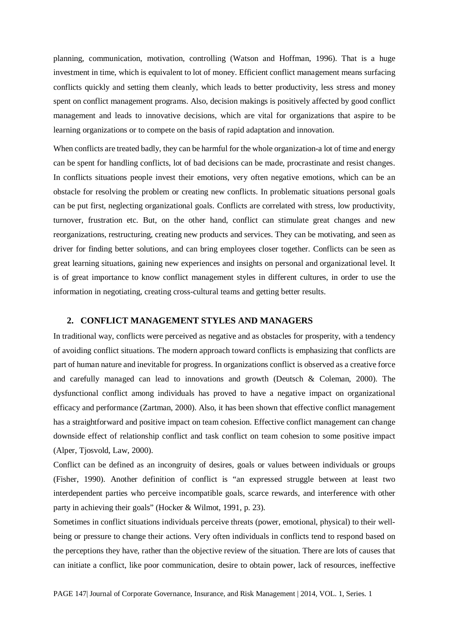planning, communication, motivation, controlling (Watson and Hoffman, 1996). That is a huge investment in time, which is equivalent to lot of money. Efficient conflict management means surfacing conflicts quickly and setting them cleanly, which leads to better productivity, less stress and money spent on conflict management programs. Also, decision makings is positively affected by good conflict management and leads to innovative decisions, which are vital for organizations that aspire to be learning organizations or to compete on the basis of rapid adaptation and innovation.

When conflicts are treated badly, they can be harmful for the whole organization-a lot of time and energy can be spent for handling conflicts, lot of bad decisions can be made, procrastinate and resist changes. In conflicts situations people invest their emotions, very often negative emotions, which can be an obstacle for resolving the problem or creating new conflicts. In problematic situations personal goals can be put first, neglecting organizational goals. Conflicts are correlated with stress, low productivity, turnover, frustration etc. But, on the other hand, conflict can stimulate great changes and new reorganizations, restructuring, creating new products and services. They can be motivating, and seen as driver for finding better solutions, and can bring employees closer together. Conflicts can be seen as great learning situations, gaining new experiences and insights on personal and organizational level. It is of great importance to know conflict management styles in different cultures, in order to use the information in negotiating, creating cross-cultural teams and getting better results.

#### **2. CONFLICT MANAGEMENT STYLES AND MANAGERS**

In traditional way, conflicts were perceived as negative and as obstacles for prosperity, with a tendency of avoiding conflict situations. The modern approach toward conflicts is emphasizing that conflicts are part of human nature and inevitable for progress. In organizations conflict is observed as a creative force and carefully managed can lead to innovations and growth (Deutsch & Coleman, 2000). The dysfunctional conflict among individuals has proved to have a negative impact on organizational efficacy and performance (Zartman, 2000). Also, it has been shown that effective conflict management has a straightforward and positive impact on team cohesion. Effective conflict management can change downside effect of relationship conflict and task conflict on team cohesion to some positive impact (Alper, Tjosvold, Law, 2000).

Conflict can be defined as an incongruity of desires, goals or values between individuals or groups (Fisher, 1990). Another definition of conflict is "an expressed struggle between at least two interdependent parties who perceive incompatible goals, scarce rewards, and interference with other party in achieving their goals" (Hocker & Wilmot, 1991, p. 23).

Sometimes in conflict situations individuals perceive threats (power, emotional, physical) to their wellbeing or pressure to change their actions. Very often individuals in conflicts tend to respond based on the perceptions they have, rather than the objective review of the situation. There are lots of causes that can initiate a conflict, like poor communication, desire to obtain power, lack of resources, ineffective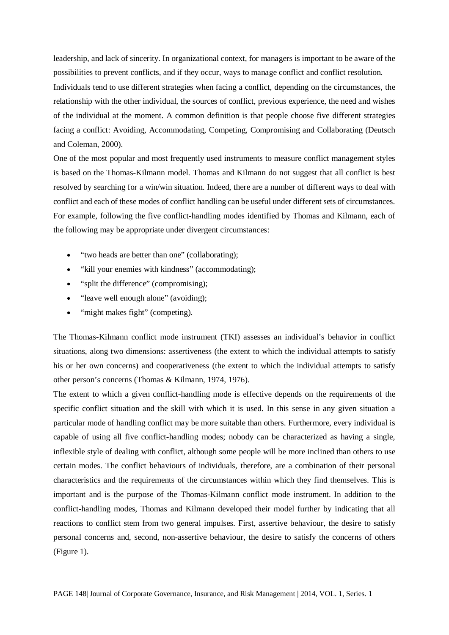leadership, and lack of sincerity. In organizational context, for managers is important to be aware of the possibilities to prevent conflicts, and if they occur, ways to manage conflict and conflict resolution. Individuals tend to use different strategies when facing a conflict, depending on the circumstances, the relationship with the other individual, the sources of conflict, previous experience, the need and wishes of the individual at the moment. A common definition is that people choose five different strategies facing a conflict: Avoiding, Accommodating, Competing, Compromising and Collaborating (Deutsch and Coleman, 2000).

One of the most popular and most frequently used instruments to measure conflict management styles is based on the Thomas-Kilmann model. Thomas and Kilmann do not suggest that all conflict is best resolved by searching for a win/win situation. Indeed, there are a number of different ways to deal with conflict and each of these modes of conflict handling can be useful under different sets of circumstances. For example, following the five conflict-handling modes identified by Thomas and Kilmann, each of the following may be appropriate under divergent circumstances:

- "two heads are better than one" (collaborating);
- "kill your enemies with kindness" (accommodating);
- "split the difference" (compromising);
- "leave well enough alone" (avoiding);
- "might makes fight" (competing).

The Thomas-Kilmann conflict mode instrument (TKI) assesses an individual's behavior in conflict situations, along two dimensions: assertiveness (the extent to which the individual attempts to satisfy his or her own concerns) and cooperativeness (the extent to which the individual attempts to satisfy other person's concerns (Thomas & Kilmann, 1974, 1976).

The extent to which a given conflict-handling mode is effective depends on the requirements of the specific conflict situation and the skill with which it is used. In this sense in any given situation a particular mode of handling conflict may be more suitable than others. Furthermore, every individual is capable of using all five conflict-handling modes; nobody can be characterized as having a single, inflexible style of dealing with conflict, although some people will be more inclined than others to use certain modes. The conflict behaviours of individuals, therefore, are a combination of their personal characteristics and the requirements of the circumstances within which they find themselves. This is important and is the purpose of the Thomas-Kilmann conflict mode instrument. In addition to the conflict-handling modes, Thomas and Kilmann developed their model further by indicating that all reactions to conflict stem from two general impulses. First, assertive behaviour, the desire to satisfy personal concerns and, second, non-assertive behaviour, the desire to satisfy the concerns of others (Figure 1).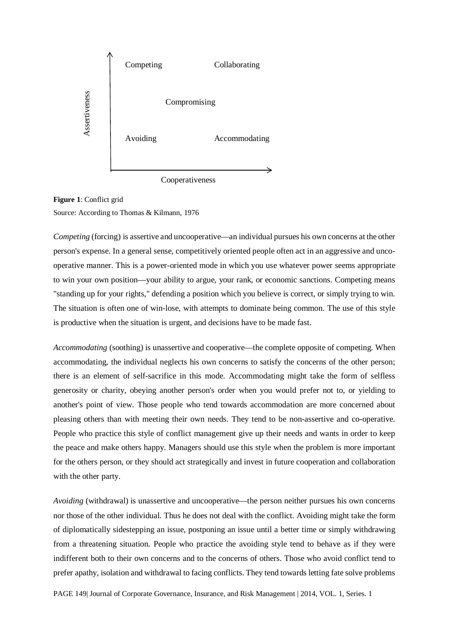

**Figure 1**: Conflict grid Source: According to Thomas & Kilmann, 1976

*Competing* (forcing) is assertive and uncooperative—an individual pursues his own concerns at the other person's expense. In a general sense, competitively oriented people often act in an aggressive and uncooperative manner. This is a power-oriented mode in which you use whatever power seems appropriate to win your own position—your ability to argue, your rank, or economic sanctions. Competing means "standing up for your rights," defending a position which you believe is correct, or simply trying to win. The situation is often one of win-lose, with attempts to dominate being common. The use of this style is productive when the situation is urgent, and decisions have to be made fast.

*Accommodating* (soothing) is unassertive and cooperative—the complete opposite of competing. When accommodating, the individual neglects his own concerns to satisfy the concerns of the other person; there is an element of self-sacrifice in this mode. Accommodating might take the form of selfless generosity or charity, obeying another person's order when you would prefer not to, or yielding to another's point of view. Those people who tend towards accommodation are more concerned about pleasing others than with meeting their own needs. They tend to be non-assertive and co-operative. People who practice this style of conflict management give up their needs and wants in order to keep the peace and make others happy. Managers should use this style when the problem is more important for the others person, or they should act strategically and invest in future cooperation and collaboration with the other party.

*Avoiding* (withdrawal) is unassertive and uncooperative—the person neither pursues his own concerns nor those of the other individual. Thus he does not deal with the conflict. Avoiding might take the form of diplomatically sidestepping an issue, postponing an issue until a better time or simply withdrawing from a threatening situation. People who practice the avoiding style tend to behave as if they were indifferent both to their own concerns and to the concerns of others. Those who avoid conflict tend to prefer apathy, isolation and withdrawal to facing conflicts. They tend towards letting fate solve problems

PAGE 149| Journal of Corporate Governance, Insurance, and Risk Management | 2014, VOL. 1, Series. 1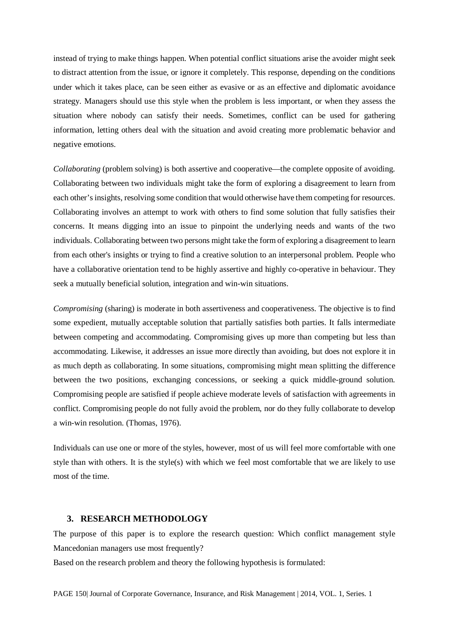instead of trying to make things happen. When potential conflict situations arise the avoider might seek to distract attention from the issue, or ignore it completely. This response, depending on the conditions under which it takes place, can be seen either as evasive or as an effective and diplomatic avoidance strategy. Managers should use this style when the problem is less important, or when they assess the situation where nobody can satisfy their needs. Sometimes, conflict can be used for gathering information, letting others deal with the situation and avoid creating more problematic behavior and negative emotions.

*Collaborating* (problem solving) is both assertive and cooperative—the complete opposite of avoiding. Collaborating between two individuals might take the form of exploring a disagreement to learn from each other's insights, resolving some condition that would otherwise have them competing for resources. Collaborating involves an attempt to work with others to find some solution that fully satisfies their concerns. It means digging into an issue to pinpoint the underlying needs and wants of the two individuals. Collaborating between two persons might take the form of exploring a disagreement to learn from each other's insights or trying to find a creative solution to an interpersonal problem. People who have a collaborative orientation tend to be highly assertive and highly co-operative in behaviour. They seek a mutually beneficial solution, integration and win-win situations.

*Compromising* (sharing) is moderate in both assertiveness and cooperativeness. The objective is to find some expedient, mutually acceptable solution that partially satisfies both parties. It falls intermediate between competing and accommodating. Compromising gives up more than competing but less than accommodating. Likewise, it addresses an issue more directly than avoiding, but does not explore it in as much depth as collaborating. In some situations, compromising might mean splitting the difference between the two positions, exchanging concessions, or seeking a quick middle-ground solution. Compromising people are satisfied if people achieve moderate levels of satisfaction with agreements in conflict. Compromising people do not fully avoid the problem, nor do they fully collaborate to develop a win-win resolution. (Thomas, 1976).

Individuals can use one or more of the styles, however, most of us will feel more comfortable with one style than with others. It is the style(s) with which we feel most comfortable that we are likely to use most of the time.

#### **3. RESEARCH METHODOLOGY**

The purpose of this paper is to explore the research question: Which conflict management style Mancedonian managers use most frequently?

Based on the research problem and theory the following hypothesis is formulated: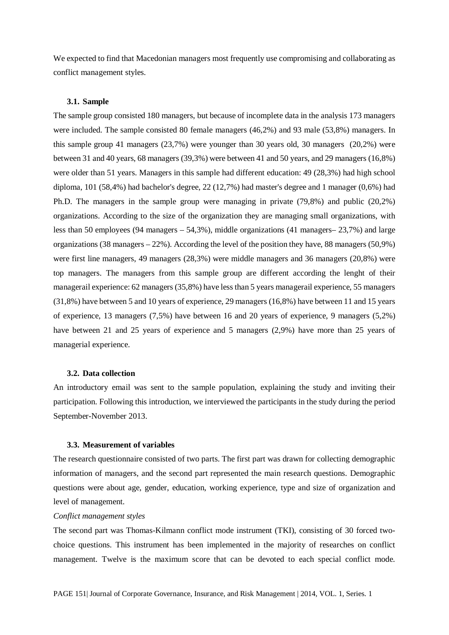We expected to find that Macedonian managers most frequently use compromising and collaborating as conflict management styles.

#### **3.1. Sample**

The sample group consisted 180 managers, but because of incomplete data in the analysis 173 managers were included. The sample consisted 80 female managers (46,2%) and 93 male (53,8%) managers. In this sample group 41 managers (23,7%) were younger than 30 years old, 30 managers (20,2%) were between 31 and 40 years, 68 managers (39,3%) were between 41 and 50 years, and 29 managers (16,8%) were older than 51 years. Managers in this sample had different education: 49 (28,3%) had high school diploma, 101 (58,4%) had bachelor's degree, 22 (12,7%) had master's degree and 1 manager (0,6%) had Ph.D. The managers in the sample group were managing in private (79,8%) and public (20,2%) organizations. According to the size of the organization they are managing small organizations, with less than 50 employees (94 managers – 54,3%), middle organizations (41 managers– 23,7%) and large organizations (38 managers – 22%). According the level of the position they have, 88 managers (50,9%) were first line managers, 49 managers (28,3%) were middle managers and 36 managers (20,8%) were top managers. The managers from this sample group are different according the lenght of their managerail experience: 62 managers (35,8%) have less than 5 years managerail experience, 55 managers (31,8%) have between 5 and 10 years of experience, 29 managers (16,8%) have between 11 and 15 years of experience, 13 managers (7,5%) have between 16 and 20 years of experience, 9 managers (5,2%) have between 21 and 25 years of experience and 5 managers (2,9%) have more than 25 years of managerial experience.

#### **3.2. Data collection**

An introductory email was sent to the sample population, explaining the study and inviting their participation. Following this introduction, we interviewed the participants in the study during the period September-November 2013.

#### **3.3. Measurement of variables**

The research questionnaire consisted of two parts. The first part was drawn for collecting demographic information of managers, and the second part represented the main research questions. Demographic questions were about age, gender, education, working experience, type and size of organization and level of management.

#### *Conflict management styles*

The second part was Thomas-Kilmann conflict mode instrument (TKI), consisting of 30 forced twochoice questions. This instrument has been implemented in the majority of researches on conflict management. Twelve is the maximum score that can be devoted to each special conflict mode.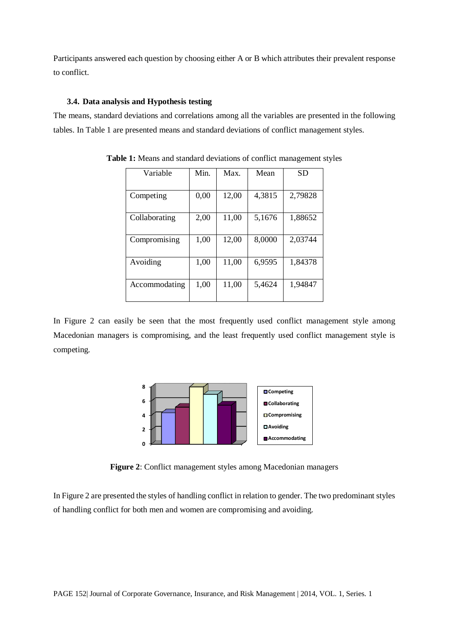Participants answered each question by choosing either A or B which attributes their prevalent response to conflict.

#### **3.4. Data analysis and Hypothesis testing**

The means, standard deviations and correlations among all the variables are presented in the following tables. In Table 1 are presented means and standard deviations of conflict management styles.

| Variable      | Min. | Max.  | Mean   | SD      |
|---------------|------|-------|--------|---------|
|               |      |       |        |         |
| Competing     | 0,00 | 12,00 | 4,3815 | 2,79828 |
| Collaborating | 2,00 | 11,00 | 5,1676 | 1,88652 |
| Compromising  | 1,00 | 12,00 | 8,0000 | 2,03744 |
| Avoiding      | 1,00 | 11,00 | 6,9595 | 1,84378 |
| Accommodating | 1,00 | 11,00 | 5,4624 | 1,94847 |

**Table 1:** Means and standard deviations of conflict management styles

In Figure 2 can easily be seen that the most frequently used conflict management style among Macedonian managers is compromising, and the least frequently used conflict management style is competing.



**Figure 2**: Conflict management styles among Macedonian managers

In Figure 2 are presented the styles of handling conflict in relation to gender. The two predominant styles of handling conflict for both men and women are compromising and avoiding.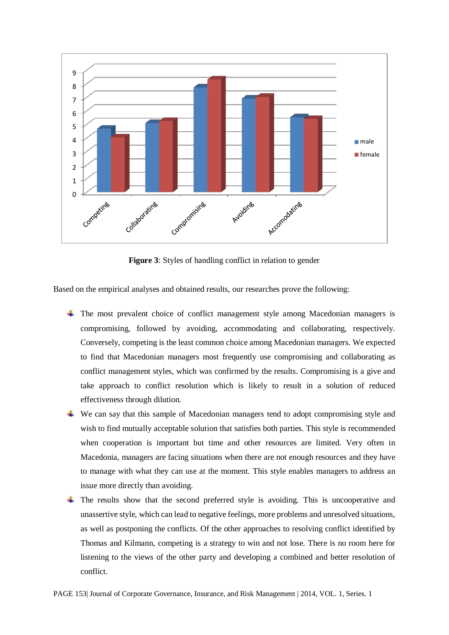

**Figure 3**: Styles of handling conflict in relation to gender

Based on the empirical analyses and obtained results, our researches prove the following:

- The most prevalent choice of conflict management style among Macedonian managers is compromising, followed by avoiding, accommodating and collaborating, respectively. Conversely, competing is the least common choice among Macedonian managers. We expected to find that Macedonian managers most frequently use compromising and collaborating as conflict management styles, which was confirmed by the results. Compromising is a give and take approach to conflict resolution which is likely to result in a solution of reduced effectiveness through dilution.
- We can say that this sample of Macedonian managers tend to adopt compromising style and wish to find mutually acceptable solution that satisfies both parties. This style is recommended when cooperation is important but time and other resources are limited. Very often in Macedonia, managers are facing situations when there are not enough resources and they have to manage with what they can use at the moment. This style enables managers to address an issue more directly than avoiding.
- $\overline{\phantom{a}}$  The results show that the second preferred style is avoiding. This is uncooperative and unassertive style, which can lead to negative feelings, more problems and unresolved situations, as well as postponing the conflicts. Of the other approaches to resolving conflict identified by Thomas and Kilmann, competing is a strategy to win and not lose. There is no room here for listening to the views of the other party and developing a combined and better resolution of conflict.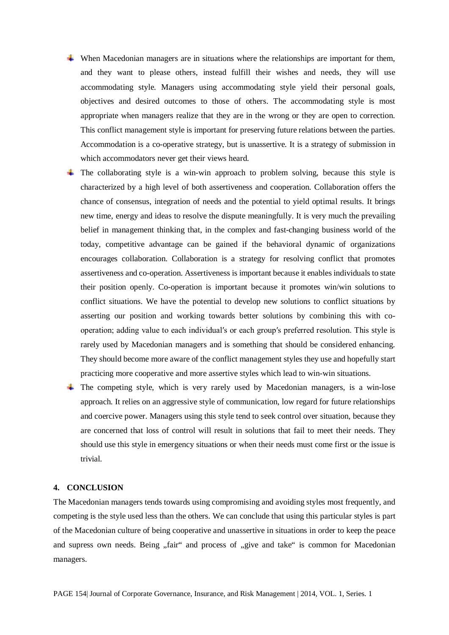- $\overline{\phantom{a}}$  When Macedonian managers are in situations where the relationships are important for them, and they want to please others, instead fulfill their wishes and needs, they will use accommodating style. Managers using accommodating style yield their personal goals, objectives and desired outcomes to those of others. The accommodating style is most appropriate when managers realize that they are in the wrong or they are open to correction. This conflict management style is important for preserving future relations between the parties. Accommodation is a co-operative strategy, but is unassertive. It is a strategy of submission in which accommodators never get their views heard.
- $\pm$  The collaborating style is a win-win approach to problem solving, because this style is characterized by a high level of both assertiveness and cooperation. Collaboration offers the chance of consensus, integration of needs and the potential to yield optimal results. It brings new time, energy and ideas to resolve the dispute meaningfully. It is very much the prevailing belief in management thinking that, in the complex and fast-changing business world of the today, competitive advantage can be gained if the behavioral dynamic of organizations encourages collaboration. Collaboration is a strategy for resolving conflict that promotes assertiveness and co-operation. Assertiveness is important because it enables individuals to state their position openly. Co-operation is important because it promotes win/win solutions to conflict situations. We have the potential to develop new solutions to conflict situations by asserting our position and working towards better solutions by combining this with cooperation; adding value to each individual′s or each group′s preferred resolution. This style is rarely used by Macedonian managers and is something that should be considered enhancing. They should become more aware of the conflict management styles they use and hopefully start practicing more cooperative and more assertive styles which lead to win-win situations.
- The competing style, which is very rarely used by Macedonian managers, is a win-lose approach. It relies on an aggressive style of communication, low regard for future relationships and coercive power. Managers using this style tend to seek control over situation, because they are concerned that loss of control will result in solutions that fail to meet their needs. They should use this style in emergency situations or when their needs must come first or the issue is trivial.

#### **4. CONCLUSION**

The Macedonian managers tends towards using compromising and avoiding styles most frequently, and competing is the style used less than the others. We can conclude that using this particular styles is part of the Macedonian culture of being cooperative and unassertive in situations in order to keep the peace and supress own needs. Being "fair" and process of "give and take" is common for Macedonian managers.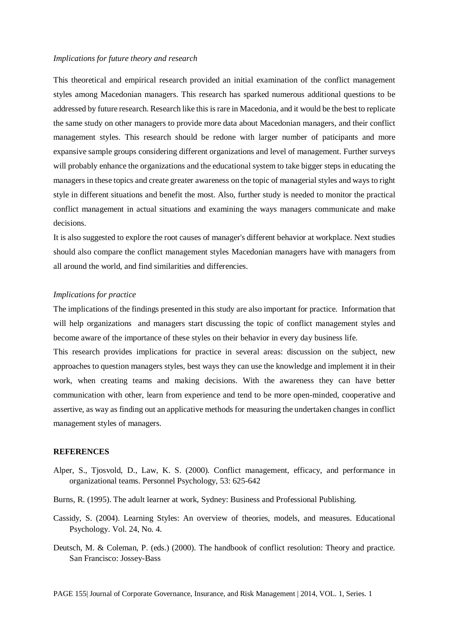#### *Implications for future theory and research*

This theoretical and empirical research provided an initial examination of the conflict management styles among Macedonian managers. This research has sparked numerous additional questions to be addressed by future research. Research like this is rare in Macedonia, and it would be the best to replicate the same study on other managers to provide more data about Macedonian managers, and their conflict management styles. This research should be redone with larger number of paticipants and more expansive sample groups considering different organizations and level of management. Further surveys will probably enhance the organizations and the educational system to take bigger steps in educating the managers in these topics and create greater awareness on the topic of managerial styles and ways to right style in different situations and benefit the most. Also, further study is needed to monitor the practical conflict management in actual situations and examining the ways managers communicate and make decisions.

It is also suggested to explore the root causes of manager's different behavior at workplace. Next studies should also compare the conflict management styles Macedonian managers have with managers from all around the world, and find similarities and differencies.

#### *Implications for practice*

The implications of the findings presented in this study are also important for practice. Information that will help organizations and managers start discussing the topic of conflict management styles and become aware of the importance of these styles on their behavior in every day business life.

This research provides implications for practice in several areas: discussion on the subject, new approaches to question managers styles, best ways they can use the knowledge and implement it in their work, when creating teams and making decisions. With the awareness they can have better communication with other, learn from experience and tend to be more open-minded, cooperative and assertive, as way as finding out an applicative methods for measuring the undertaken changes in conflict management styles of managers.

#### **REFERENCES**

- Alper, S., Tjosvold, D., Law, K. S. (2000). Conflict management, efficacy, and performance in organizational teams. Personnel Psychology, 53: 625-642
- Burns, R. (1995). The adult learner at work, Sydney: Business and Professional Publishing.
- Cassidy, S. (2004). Learning Styles: An overview of theories, models, and measures. Educational Psychology. Vol. 24, No. 4.
- Deutsch, M. & Coleman, P. (eds.) (2000). The handbook of conflict resolution: Theory and practice. San Francisco: Jossey-Bass